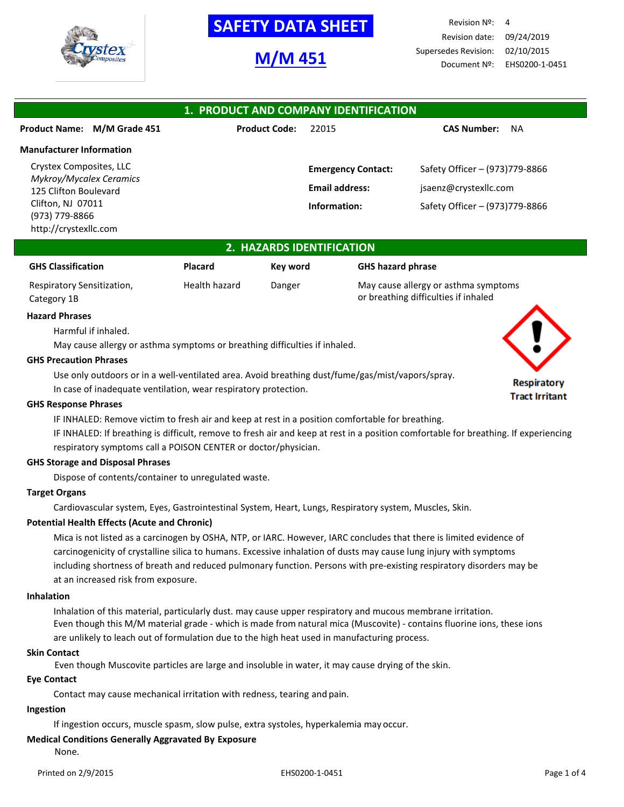

# **M/M 451**

Revision Nº: 4 Revision date: 09/24/2019 Supersedes Revision: 02/10/2015 Document Nº: EHS0200-1-0451

## **1. PRODUCT AND COMPANY IDENTIFICATION Product Name: M/M Grade 451 Product Code:** 22015 **CAS Number:** NA **Manufacturer Information** Crystex Composites, LLC *Mykroy/Mycalex Ceramics* 125 Clifton Boulevard Clifton, NJ 07011 (973) 779-8866 http://crystexllc.com **Emergency Contact:** Safety Officer – (973)779-8866 **Email address:** [jsaenz@crystexllc.com](mailto:jsaenz@crystexllc.com) **Information:** Safety Officer – (973)779-8866

## **2. HAZARDS IDENTIFICATION**

| <b>GHS Classification</b>  | <b>Placard</b> | Kev word | <b>GHS hazard phrase</b>             |
|----------------------------|----------------|----------|--------------------------------------|
| Respiratory Sensitization, | Health hazard  | Danger   | May cause allergy or asthma symptoms |
| Category 1B                |                |          | or breathing difficulties if inhaled |

## **Hazard Phrases**

Harmful if inhaled.

May cause allergy or asthma symptoms or breathing difficulties if inhaled.

#### **GHS Precaution Phrases**

Use only outdoors or in a well-ventilated area. Avoid breathing dust/fume/gas/mist/vapors/spray.

In case of inadequate ventilation, wear respiratory protection.

## **GHS Response Phrases**

IF INHALED: Remove victim to fresh air and keep at rest in a position comfortable for breathing.

IF INHALED: If breathing is difficult, remove to fresh air and keep at rest in a position comfortable for breathing. If experiencing respiratory symptoms call a POISON CENTER or doctor/physician.

## **GHS Storage and Disposal Phrases**

Dispose of contents/container to unregulated waste.

## **Target Organs**

Cardiovascular system, Eyes, Gastrointestinal System, Heart, Lungs, Respiratory system, Muscles, Skin.

## **Potential Health Effects (Acute and Chronic)**

Mica is not listed as a carcinogen by OSHA, NTP, or IARC. However, IARC concludes that there is limited evidence of carcinogenicity of crystalline silica to humans. Excessive inhalation of dusts may cause lung injury with symptoms including shortness of breath and reduced pulmonary function. Persons with pre-existing respiratory disorders may be at an increased risk from exposure.

#### **Inhalation**

Inhalation of this material, particularly dust. may cause upper respiratory and mucous membrane irritation. Even though this M/M material grade - which is made from natural mica (Muscovite) - contains fluorine ions, these ions are unlikely to leach out of formulation due to the high heat used in manufacturing process.

## **Skin Contact**

Even though Muscovite particles are large and insoluble in water, it may cause drying of the skin.

## **Eye Contact**

Contact may cause mechanical irritation with redness, tearing and pain.

#### **Ingestion**

If ingestion occurs, muscle spasm, slow pulse, extra systoles, hyperkalemia may occur.

## **Medical Conditions Generally Aggravated By Exposure**

None.

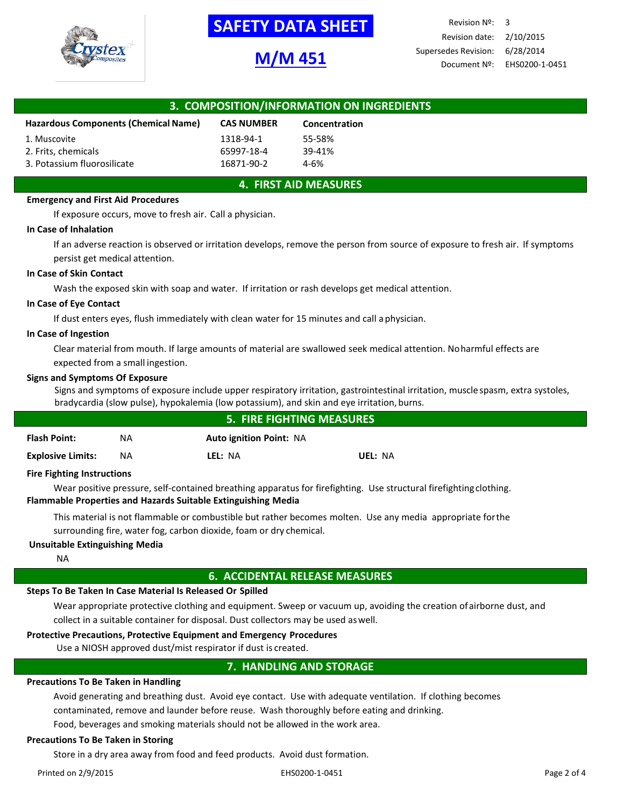

## **M/M 451**

Revision Nº: 3 Revision date: 2/10/2015 Supersedes Revision: 6/28/2014 Document Nº: EHS0200-1-0451

| 3. COMPOSITION/INFORMATION ON INGREDIENTS   |                   |               |  |  |
|---------------------------------------------|-------------------|---------------|--|--|
| <b>Hazardous Components (Chemical Name)</b> | <b>CAS NUMBER</b> | Concentration |  |  |
| 1. Muscovite                                | 1318-94-1         | 55-58%        |  |  |
| 2. Frits, chemicals                         | 65997-18-4        | 39-41%        |  |  |
| 3. Potassium fluorosilicate                 | 16871-90-2        | $4 - 6%$      |  |  |

## **4. FIRST AID MEASURES**

### **Emergency and First Aid Procedures**

If exposure occurs, move to fresh air. Call a physician.

#### **In Case of Inhalation**

If an adverse reaction is observed or irritation develops, remove the person from source of exposure to fresh air. If symptoms persist get medical attention.

#### **In Case of Skin Contact**

Wash the exposed skin with soap and water. If irritation or rash develops get medical attention.

#### **In Case of Eye Contact**

If dust enters eyes, flush immediately with clean water for 15 minutes and call aphysician.

#### **In Case of Ingestion**

Clear material from mouth. If large amounts of material are swallowed seek medical attention. Noharmful effects are expected from a small ingestion.

#### **Signs and Symptoms Of Exposure**

Signs and symptoms of exposure include upper respiratory irritation, gastrointestinal irritation, muscle spasm, extra systoles, bradycardia (slow pulse), hypokalemia (low potassium), and skin and eye irritation,burns.

| <b>5. FIRE FIGHTING MEASURES</b>  |     |                                |         |  |
|-----------------------------------|-----|--------------------------------|---------|--|
| <b>Flash Point:</b>               | NA  | <b>Auto ignition Point: NA</b> |         |  |
| <b>Explosive Limits:</b>          | NA. | LEL: NA                        | UEL: NA |  |
| <b>Fire Fighting Instructions</b> |     |                                |         |  |

## **Fire Fighting Instructions**

Wear positive pressure, self-contained breathing apparatus for firefighting. Use structural firefightingclothing. **Flammable Properties and Hazards Suitable Extinguishing Media**

This material is not flammable or combustible but rather becomes molten. Use any media appropriate forthe surrounding fire, water fog, carbon dioxide, foam or dry chemical.

## **Unsuitable Extinguishing Media**

NA

## **6. ACCIDENTAL RELEASE MEASURES**

## **Steps To Be Taken In Case Material Is Released Or Spilled**

Wear appropriate protective clothing and equipment. Sweep or vacuum up, avoiding the creation ofairborne dust, and collect in a suitable container for disposal. Dust collectors may be used aswell.

## **Protective Precautions, Protective Equipment and Emergency Procedures**

Use a NIOSH approved dust/mist respirator if dust is created.

## **7. HANDLING AND STORAGE**

## **Precautions To Be Taken in Handling**

Avoid generating and breathing dust. Avoid eye contact. Use with adequate ventilation. If clothing becomes contaminated, remove and launder before reuse. Wash thoroughly before eating and drinking.

Food, beverages and smoking materials should not be allowed in the work area.

## **Precautions To Be Taken in Storing**

Store in a dry area away from food and feed products. Avoid dust formation.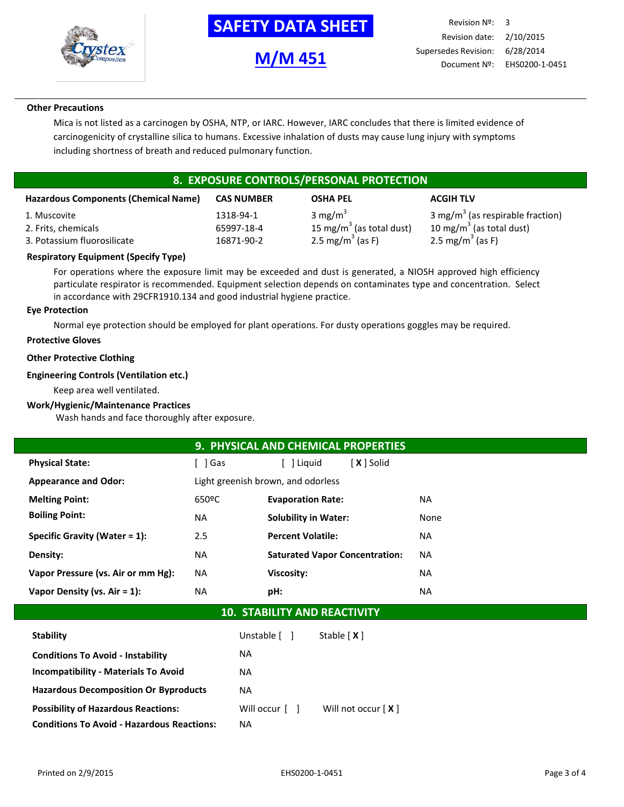

**M/M 451**

## **Other Precautions**

Mica is not listed as a carcinogen by OSHA, NTP, or IARC. However, IARC concludes that there is limited evidence of carcinogenicity of crystalline silica to humans. Excessive inhalation of dusts may cause lung injury with symptoms including shortness of breath and reduced pulmonary function.

## **8. EXPOSURE CONTROLS/PERSONAL PROTECTION**

| <b>Hazardous Components (Chemical Name)</b> | <b>CAS NUMBER</b> | <b>OSHA PEL</b>              | <b>ACGIH TLV</b>                             |
|---------------------------------------------|-------------------|------------------------------|----------------------------------------------|
| 1. Muscovite                                | 1318-94-1         | 3 mg/m <sup>3</sup>          | 3 mg/m <sup>3</sup> (as respirable fraction) |
| 2. Frits, chemicals                         | 65997-18-4        | 15 mg/m $3$ (as total dust)  | 10 mg/m <sup>3</sup> (as total dust)         |
| 3. Potassium fluorosilicate                 | 16871-90-2        | 2.5 mg/m <sup>3</sup> (as F) | 2.5 mg/m <sup>3</sup> (as F)                 |

## **Respiratory Equipment (Specify Type)**

For operations where the exposure limit may be exceeded and dust is generated, a NIOSH approved high efficiency particulate respirator is recommended. Equipment selection depends on contaminates type and concentration. Select in accordance with 29CFR1910.134 and good industrial hygiene practice.

## **Eye Protection**

Normal eye protection should be employed for plant operations. For dusty operations goggles may be required.

## **Protective Gloves**

## **Other Protective Clothing**

## **Engineering Controls (Ventilation etc.)**

Keep area well ventilated.

## **Work/Hygienic/Maintenance Practices**

Wash hands and face thoroughly after exposure.

| 9. PHYSICAL AND CHEMICAL PROPERTIES        |           |                                       |           |  |  |  |
|--------------------------------------------|-----------|---------------------------------------|-----------|--|--|--|
| <b>Physical State:</b>                     | ์ 1 Gas   | [X ] Solid<br>Liquid                  |           |  |  |  |
| <b>Appearance and Odor:</b>                |           | Light greenish brown, and odorless    |           |  |  |  |
| <b>Melting Point:</b>                      | 650°C     | <b>Evaporation Rate:</b>              | <b>NA</b> |  |  |  |
| <b>Boiling Point:</b>                      | NA.       | <b>Solubility in Water:</b>           | None      |  |  |  |
| Specific Gravity (Water = $1$ ):           | 2.5       | <b>Percent Volatile:</b>              | <b>NA</b> |  |  |  |
| Density:                                   | NA.       | <b>Saturated Vapor Concentration:</b> | <b>NA</b> |  |  |  |
| Vapor Pressure (vs. Air or mm Hg):         | NA.       | Viscosity:                            | <b>NA</b> |  |  |  |
| Vapor Density (vs. $Air = 1$ ):            | <b>NA</b> | pH:                                   | <b>NA</b> |  |  |  |
| $AA$ $CTA BII I T V A NIR BFA C T I I T V$ |           |                                       |           |  |  |  |

## **10. STABILITY AND REACTIVITY**

| <b>Stability</b>                                  | Unstable [ ]   | Stable $[X]$         |
|---------------------------------------------------|----------------|----------------------|
| <b>Conditions To Avoid - Instability</b>          | NA.            |                      |
| <b>Incompatibility - Materials To Avoid</b>       | NA.            |                      |
| <b>Hazardous Decomposition Or Byproducts</b>      | NA.            |                      |
| <b>Possibility of Hazardous Reactions:</b>        | Will occur [ ] | Will not occur $[X]$ |
| <b>Conditions To Avoid - Hazardous Reactions:</b> | ΝA             |                      |